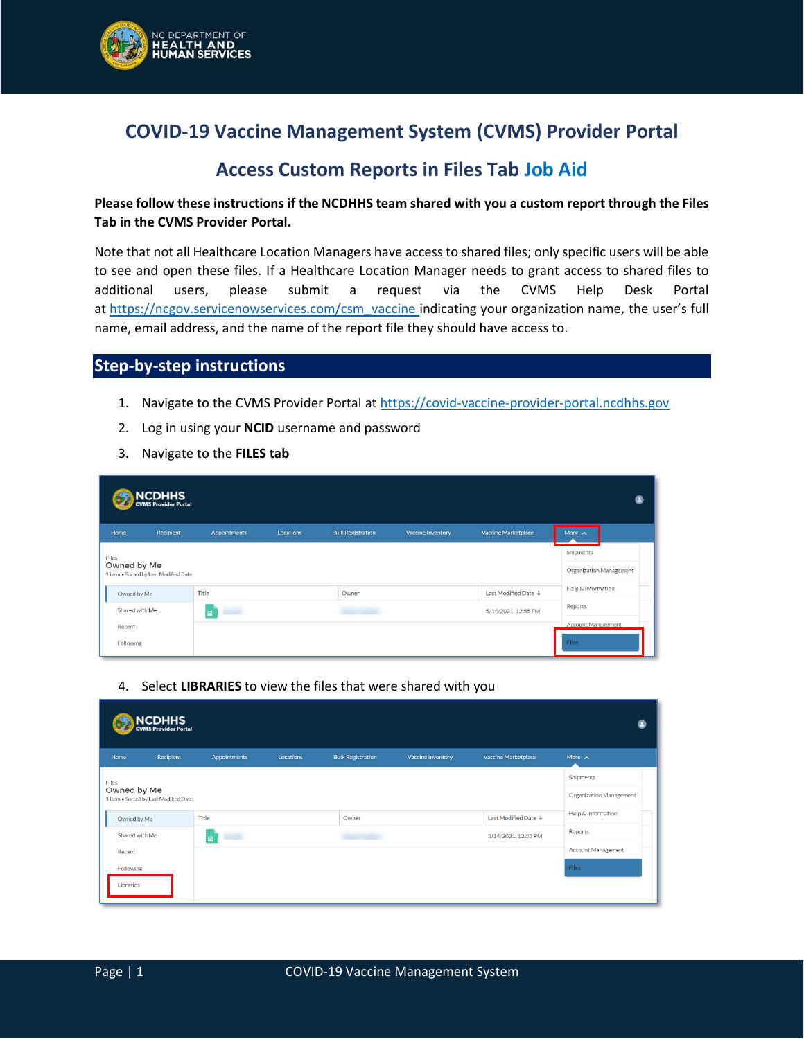

## **COVID-19 Vaccine Management System (CVMS) Provider Portal**

## **Access Custom Reports in Files Tab Job Aid**

## **Please follow these instructions if the NCDHHS team shared with you a custom report through the Files Tab in the CVMS Provider Portal.**

Note that not all Healthcare Location Managers have access to shared files; only specific users will be able to see and open these files. If a Healthcare Location Manager needs to grant access to shared files to additional users, please submit a request via the CVMS Help Desk Portal at [https://ncgov.servicenowservices.com/csm\\_vaccine](https://ncgov.servicenowservices.com/csm_vaccine) indicating your organization name, the user's full name, email address, and the name of the report file they should have access to.

## **Step-by-step instructions**

- 1. Navigate to the CVMS Provider Portal a[t https://covid-vaccine-provider-portal.ncdhhs.gov](https://covid-vaccine-provider-portal.ncdhhs.gov/)
- 2. Log in using your **NCID** username and password
- 3. Navigate to the **FILES tab**

| <b>NCDHHS</b><br>CVMS Provider Portal                         |                                      |                               |           |                          |                   |                      |                                    |  |
|---------------------------------------------------------------|--------------------------------------|-------------------------------|-----------|--------------------------|-------------------|----------------------|------------------------------------|--|
| Home                                                          | Recipient                            | <b>Appointments</b>           | Locations | <b>Bulk Registration</b> | Vaccine Inventory | Vaccine Marketplace  | More $\land$                       |  |
| Files<br>Owned by Me<br>1 item . Sorted by Last Modified Date | Shipments<br>Organization Management |                               |           |                          |                   |                      |                                    |  |
| Owned by Me                                                   |                                      | Title                         |           | Owner                    |                   | Last Modified Date + | Help & Information                 |  |
| Shared with Me                                                |                                      | 5/14/2021, 12:55 PM<br>m<br>国 |           |                          |                   |                      | Reports                            |  |
| Recent                                                        | Following                            |                               |           |                          |                   |                      | <b>Account Management</b><br>Files |  |
|                                                               |                                      |                               |           |                          |                   |                      |                                    |  |

4. Select **LIBRARIES** to view the files that were shared with you

| <b>NCDHHS</b><br>CVMS Provider Portal<br>e |                                                      |              |                  |                          |                          |                            |                    |  |  |
|--------------------------------------------|------------------------------------------------------|--------------|------------------|--------------------------|--------------------------|----------------------------|--------------------|--|--|
| Home                                       | Recipient                                            | Appointments | <b>Locations</b> | <b>Bulk Registration</b> | <b>Vaccine Inventory</b> | <b>Vaccine Marketplace</b> | More $\wedge$      |  |  |
| Files                                      |                                                      |              |                  |                          |                          |                            | Shipments          |  |  |
|                                            | Owned by Me<br>1 item . Sorted by Last Modified Date |              |                  |                          |                          |                            |                    |  |  |
| Owned by Me                                |                                                      | Title        |                  | Owner                    |                          | Last Modified Date ↓       | Help & Information |  |  |
| Shared with Me                             |                                                      | $\Box$       |                  | <b>STATISTICS</b>        |                          |                            | Reports            |  |  |
| Recent                                     |                                                      |              |                  |                          |                          |                            | Account Management |  |  |
| Following                                  |                                                      |              |                  |                          |                          |                            | <b>Files</b>       |  |  |
| Libraries                                  |                                                      |              |                  |                          |                          |                            |                    |  |  |